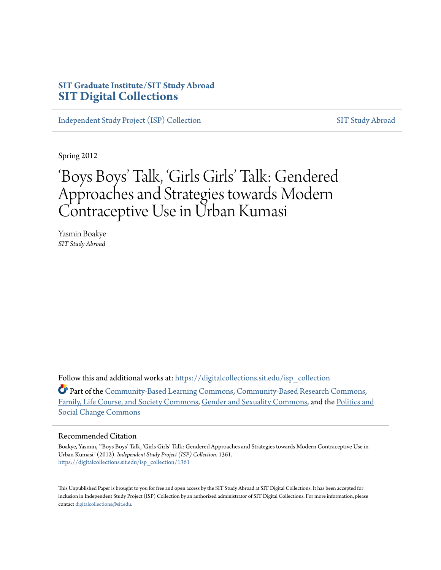### **SIT Graduate Institute/SIT Study Abroad [SIT Digital Collections](https://digitalcollections.sit.edu?utm_source=digitalcollections.sit.edu%2Fisp_collection%2F1361&utm_medium=PDF&utm_campaign=PDFCoverPages)**

[Independent Study Project \(ISP\) Collection](https://digitalcollections.sit.edu/isp_collection?utm_source=digitalcollections.sit.edu%2Fisp_collection%2F1361&utm_medium=PDF&utm_campaign=PDFCoverPages) [SIT Study Abroad](https://digitalcollections.sit.edu/study_abroad?utm_source=digitalcollections.sit.edu%2Fisp_collection%2F1361&utm_medium=PDF&utm_campaign=PDFCoverPages)

Spring 2012

# 'Boys Boys' Talk, 'Girls Girls' Talk: Gendered Approaches and Strategies towards Modern Contraceptive Use in Urban Kumasi

Yasmin Boakye *SIT Study Abroad*

Follow this and additional works at: [https://digitalcollections.sit.edu/isp\\_collection](https://digitalcollections.sit.edu/isp_collection?utm_source=digitalcollections.sit.edu%2Fisp_collection%2F1361&utm_medium=PDF&utm_campaign=PDFCoverPages)

Part of the [Community-Based Learning Commons,](http://network.bepress.com/hgg/discipline/1046?utm_source=digitalcollections.sit.edu%2Fisp_collection%2F1361&utm_medium=PDF&utm_campaign=PDFCoverPages) [Community-Based Research Commons](http://network.bepress.com/hgg/discipline/1047?utm_source=digitalcollections.sit.edu%2Fisp_collection%2F1361&utm_medium=PDF&utm_campaign=PDFCoverPages), [Family, Life Course, and Society Commons](http://network.bepress.com/hgg/discipline/419?utm_source=digitalcollections.sit.edu%2Fisp_collection%2F1361&utm_medium=PDF&utm_campaign=PDFCoverPages), [Gender and Sexuality Commons,](http://network.bepress.com/hgg/discipline/420?utm_source=digitalcollections.sit.edu%2Fisp_collection%2F1361&utm_medium=PDF&utm_campaign=PDFCoverPages) and the [Politics and](http://network.bepress.com/hgg/discipline/425?utm_source=digitalcollections.sit.edu%2Fisp_collection%2F1361&utm_medium=PDF&utm_campaign=PDFCoverPages) [Social Change Commons](http://network.bepress.com/hgg/discipline/425?utm_source=digitalcollections.sit.edu%2Fisp_collection%2F1361&utm_medium=PDF&utm_campaign=PDFCoverPages)

#### Recommended Citation

Boakye, Yasmin, "'Boys Boys' Talk, 'Girls Girls' Talk: Gendered Approaches and Strategies towards Modern Contraceptive Use in Urban Kumasi" (2012). *Independent Study Project (ISP) Collection*. 1361. [https://digitalcollections.sit.edu/isp\\_collection/1361](https://digitalcollections.sit.edu/isp_collection/1361?utm_source=digitalcollections.sit.edu%2Fisp_collection%2F1361&utm_medium=PDF&utm_campaign=PDFCoverPages)

This Unpublished Paper is brought to you for free and open access by the SIT Study Abroad at SIT Digital Collections. It has been accepted for inclusion in Independent Study Project (ISP) Collection by an authorized administrator of SIT Digital Collections. For more information, please contact [digitalcollections@sit.edu](mailto:digitalcollections@sit.edu).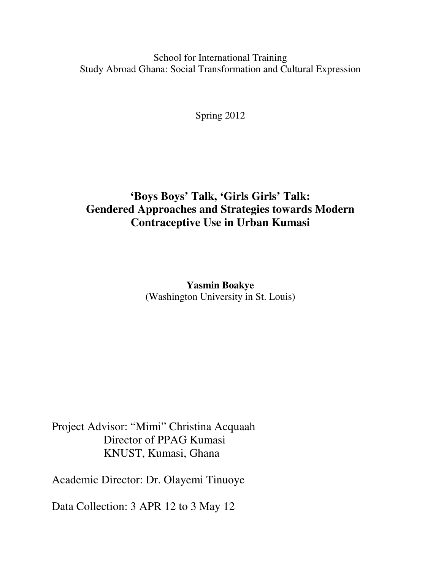School for International Training Study Abroad Ghana: Social Transformation and Cultural Expression

Spring 2012

## **'Boys Boys' Talk, 'Girls Girls' Talk: Gendered Approaches and Strategies towards Modern Contraceptive Use in Urban Kumasi**

**Yasmin Boakye**  (Washington University in St. Louis)

Project Advisor: "Mimi" Christina Acquaah Director of PPAG Kumasi KNUST, Kumasi, Ghana

Academic Director: Dr. Olayemi Tinuoye

Data Collection: 3 APR 12 to 3 May 12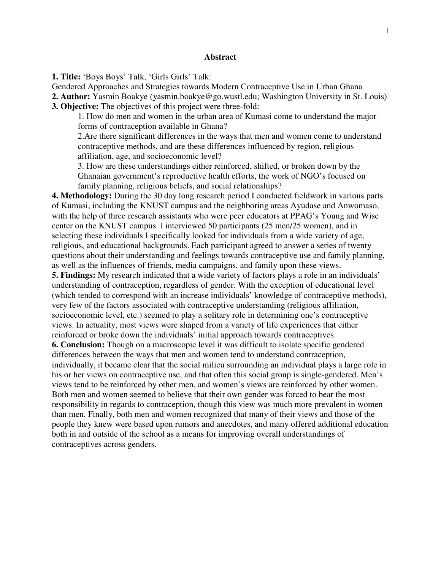#### **Abstract**

**1. Title:** 'Boys Boys' Talk, 'Girls Girls' Talk:

Gendered Approaches and Strategies towards Modern Contraceptive Use in Urban Ghana

**2. Author:** Yasmin Boakye (yasmin.boakye@go.wustl.edu; Washington University in St. Louis)

**3. Objective:** The objectives of this project were three-fold:

1. How do men and women in the urban area of Kumasi come to understand the major forms of contraception available in Ghana?

2.Are there significant differences in the ways that men and women come to understand contraceptive methods, and are these differences influenced by region, religious affiliation, age, and socioeconomic level?

3. How are these understandings either reinforced, shifted, or broken down by the Ghanaian government's reproductive health efforts, the work of NGO's focused on family planning, religious beliefs, and social relationships?

**4. Methodology:** During the 30 day long research period I conducted fieldwork in various parts of Kumasi, including the KNUST campus and the neighboring areas Ayudase and Anwomaso, with the help of three research assistants who were peer educators at PPAG's Young and Wise center on the KNUST campus. I interviewed 50 participants (25 men/25 women), and in selecting these individuals I specifically looked for individuals from a wide variety of age, religious, and educational backgrounds. Each participant agreed to answer a series of twenty questions about their understanding and feelings towards contraceptive use and family planning, as well as the influences of friends, media campaigns, and family upon these views.

**5. Findings:** My research indicated that a wide variety of factors plays a role in an individuals' understanding of contraception, regardless of gender. With the exception of educational level (which tended to correspond with an increase individuals' knowledge of contraceptive methods), very few of the factors associated with contraceptive understanding (religious affiliation, socioeconomic level, etc.) seemed to play a solitary role in determining one's contraceptive views. In actuality, most views were shaped from a variety of life experiences that either reinforced or broke down the individuals' initial approach towards contraceptives.

**6. Conclusion:** Though on a macroscopic level it was difficult to isolate specific gendered differences between the ways that men and women tend to understand contraception, individually, it became clear that the social milieu surrounding an individual plays a large role in his or her views on contraceptive use, and that often this social group is single-gendered. Men's views tend to be reinforced by other men, and women's views are reinforced by other women. Both men and women seemed to believe that their own gender was forced to bear the most responsibility in regards to contraception, though this view was much more prevalent in women than men. Finally, both men and women recognized that many of their views and those of the people they knew were based upon rumors and anecdotes, and many offered additional education both in and outside of the school as a means for improving overall understandings of contraceptives across genders.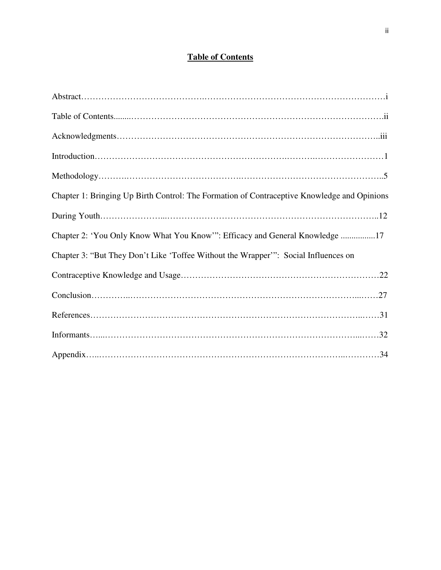### **Table of Contents**

| Chapter 1: Bringing Up Birth Control: The Formation of Contraceptive Knowledge and Opinions |
|---------------------------------------------------------------------------------------------|
|                                                                                             |
| Chapter 2: 'You Only Know What You Know'": Efficacy and General Knowledge 17                |
| Chapter 3: "But They Don't Like 'Toffee Without the Wrapper'": Social Influences on         |
|                                                                                             |
|                                                                                             |
|                                                                                             |
|                                                                                             |
|                                                                                             |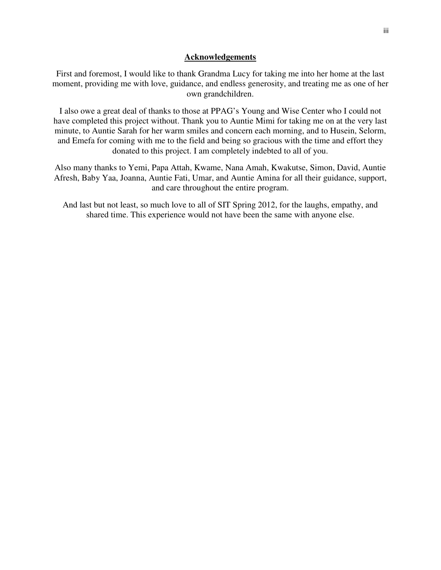#### **Acknowledgements**

First and foremost, I would like to thank Grandma Lucy for taking me into her home at the last moment, providing me with love, guidance, and endless generosity, and treating me as one of her own grandchildren.

I also owe a great deal of thanks to those at PPAG's Young and Wise Center who I could not have completed this project without. Thank you to Auntie Mimi for taking me on at the very last minute, to Auntie Sarah for her warm smiles and concern each morning, and to Husein, Selorm, and Emefa for coming with me to the field and being so gracious with the time and effort they donated to this project. I am completely indebted to all of you.

Also many thanks to Yemi, Papa Attah, Kwame, Nana Amah, Kwakutse, Simon, David, Auntie Afresh, Baby Yaa, Joanna, Auntie Fati, Umar, and Auntie Amina for all their guidance, support, and care throughout the entire program.

And last but not least, so much love to all of SIT Spring 2012, for the laughs, empathy, and shared time. This experience would not have been the same with anyone else.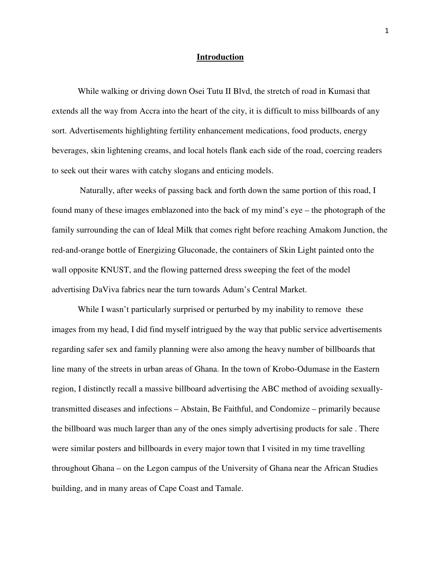#### **Introduction**

While walking or driving down Osei Tutu II Blvd, the stretch of road in Kumasi that extends all the way from Accra into the heart of the city, it is difficult to miss billboards of any sort. Advertisements highlighting fertility enhancement medications, food products, energy beverages, skin lightening creams, and local hotels flank each side of the road, coercing readers to seek out their wares with catchy slogans and enticing models.

 Naturally, after weeks of passing back and forth down the same portion of this road, I found many of these images emblazoned into the back of my mind's eye – the photograph of the family surrounding the can of Ideal Milk that comes right before reaching Amakom Junction, the red-and-orange bottle of Energizing Gluconade, the containers of Skin Light painted onto the wall opposite KNUST, and the flowing patterned dress sweeping the feet of the model advertising DaViva fabrics near the turn towards Adum's Central Market.

While I wasn't particularly surprised or perturbed by my inability to remove these images from my head, I did find myself intrigued by the way that public service advertisements regarding safer sex and family planning were also among the heavy number of billboards that line many of the streets in urban areas of Ghana. In the town of Krobo-Odumase in the Eastern region, I distinctly recall a massive billboard advertising the ABC method of avoiding sexuallytransmitted diseases and infections – Abstain, Be Faithful, and Condomize – primarily because the billboard was much larger than any of the ones simply advertising products for sale . There were similar posters and billboards in every major town that I visited in my time travelling throughout Ghana – on the Legon campus of the University of Ghana near the African Studies building, and in many areas of Cape Coast and Tamale.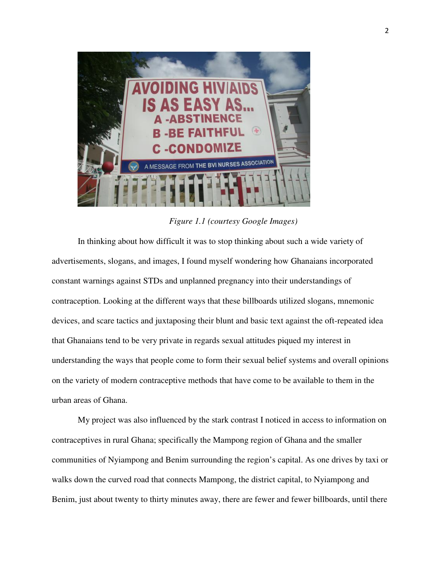

 *Figure 1.1 (courtesy Google Images)* 

In thinking about how difficult it was to stop thinking about such a wide variety of advertisements, slogans, and images, I found myself wondering how Ghanaians incorporated constant warnings against STDs and unplanned pregnancy into their understandings of contraception. Looking at the different ways that these billboards utilized slogans, mnemonic devices, and scare tactics and juxtaposing their blunt and basic text against the oft-repeated idea that Ghanaians tend to be very private in regards sexual attitudes piqued my interest in understanding the ways that people come to form their sexual belief systems and overall opinions on the variety of modern contraceptive methods that have come to be available to them in the urban areas of Ghana.

My project was also influenced by the stark contrast I noticed in access to information on contraceptives in rural Ghana; specifically the Mampong region of Ghana and the smaller communities of Nyiampong and Benim surrounding the region's capital. As one drives by taxi or walks down the curved road that connects Mampong, the district capital, to Nyiampong and Benim, just about twenty to thirty minutes away, there are fewer and fewer billboards, until there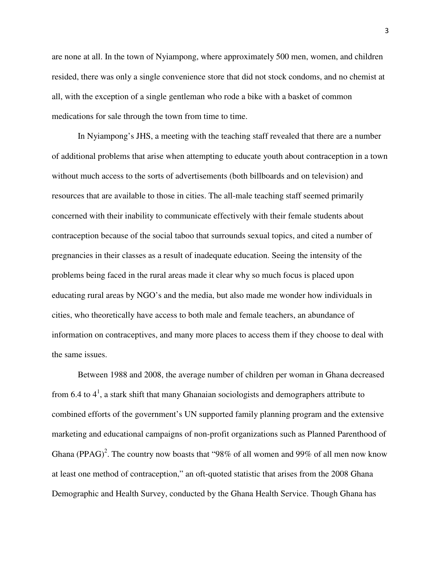are none at all. In the town of Nyiampong, where approximately 500 men, women, and children resided, there was only a single convenience store that did not stock condoms, and no chemist at all, with the exception of a single gentleman who rode a bike with a basket of common medications for sale through the town from time to time.

In Nyiampong's JHS, a meeting with the teaching staff revealed that there are a number of additional problems that arise when attempting to educate youth about contraception in a town without much access to the sorts of advertisements (both billboards and on television) and resources that are available to those in cities. The all-male teaching staff seemed primarily concerned with their inability to communicate effectively with their female students about contraception because of the social taboo that surrounds sexual topics, and cited a number of pregnancies in their classes as a result of inadequate education. Seeing the intensity of the problems being faced in the rural areas made it clear why so much focus is placed upon educating rural areas by NGO's and the media, but also made me wonder how individuals in cities, who theoretically have access to both male and female teachers, an abundance of information on contraceptives, and many more places to access them if they choose to deal with the same issues.

Between 1988 and 2008, the average number of children per woman in Ghana decreased from 6.4 to  $4^1$ , a stark shift that many Ghanaian sociologists and demographers attribute to combined efforts of the government's UN supported family planning program and the extensive marketing and educational campaigns of non-profit organizations such as Planned Parenthood of Ghana (PPAG)<sup>2</sup>. The country now boasts that "98% of all women and 99% of all men now know at least one method of contraception," an oft-quoted statistic that arises from the 2008 Ghana Demographic and Health Survey, conducted by the Ghana Health Service. Though Ghana has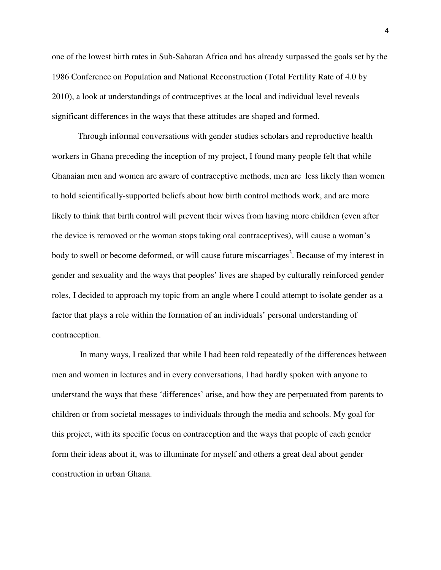one of the lowest birth rates in Sub-Saharan Africa and has already surpassed the goals set by the 1986 Conference on Population and National Reconstruction (Total Fertility Rate of 4.0 by 2010), a look at understandings of contraceptives at the local and individual level reveals significant differences in the ways that these attitudes are shaped and formed.

Through informal conversations with gender studies scholars and reproductive health workers in Ghana preceding the inception of my project, I found many people felt that while Ghanaian men and women are aware of contraceptive methods, men are less likely than women to hold scientifically-supported beliefs about how birth control methods work, and are more likely to think that birth control will prevent their wives from having more children (even after the device is removed or the woman stops taking oral contraceptives), will cause a woman's body to swell or become deformed, or will cause future miscarriages<sup>3</sup>. Because of my interest in gender and sexuality and the ways that peoples' lives are shaped by culturally reinforced gender roles, I decided to approach my topic from an angle where I could attempt to isolate gender as a factor that plays a role within the formation of an individuals' personal understanding of contraception.

 In many ways, I realized that while I had been told repeatedly of the differences between men and women in lectures and in every conversations, I had hardly spoken with anyone to understand the ways that these 'differences' arise, and how they are perpetuated from parents to children or from societal messages to individuals through the media and schools. My goal for this project, with its specific focus on contraception and the ways that people of each gender form their ideas about it, was to illuminate for myself and others a great deal about gender construction in urban Ghana.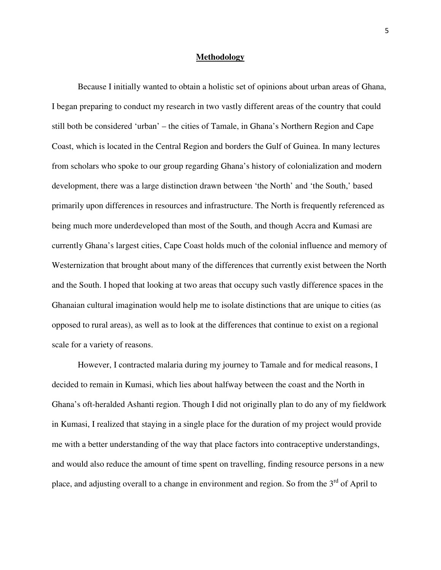#### **Methodology**

 Because I initially wanted to obtain a holistic set of opinions about urban areas of Ghana, I began preparing to conduct my research in two vastly different areas of the country that could still both be considered 'urban' – the cities of Tamale, in Ghana's Northern Region and Cape Coast, which is located in the Central Region and borders the Gulf of Guinea. In many lectures from scholars who spoke to our group regarding Ghana's history of colonialization and modern development, there was a large distinction drawn between 'the North' and 'the South,' based primarily upon differences in resources and infrastructure. The North is frequently referenced as being much more underdeveloped than most of the South, and though Accra and Kumasi are currently Ghana's largest cities, Cape Coast holds much of the colonial influence and memory of Westernization that brought about many of the differences that currently exist between the North and the South. I hoped that looking at two areas that occupy such vastly difference spaces in the Ghanaian cultural imagination would help me to isolate distinctions that are unique to cities (as opposed to rural areas), as well as to look at the differences that continue to exist on a regional scale for a variety of reasons.

 However, I contracted malaria during my journey to Tamale and for medical reasons, I decided to remain in Kumasi, which lies about halfway between the coast and the North in Ghana's oft-heralded Ashanti region. Though I did not originally plan to do any of my fieldwork in Kumasi, I realized that staying in a single place for the duration of my project would provide me with a better understanding of the way that place factors into contraceptive understandings, and would also reduce the amount of time spent on travelling, finding resource persons in a new place, and adjusting overall to a change in environment and region. So from the  $3<sup>rd</sup>$  of April to

5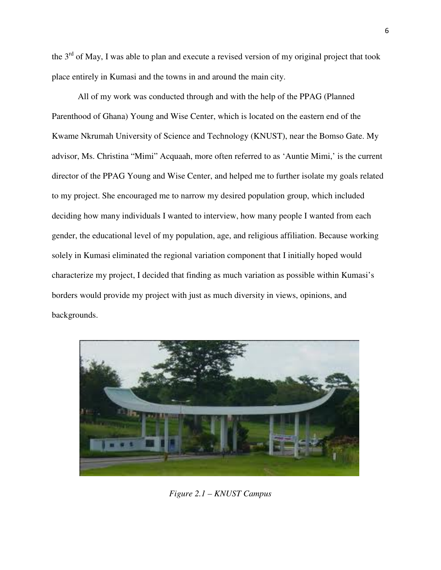the  $3<sup>rd</sup>$  of May, I was able to plan and execute a revised version of my original project that took place entirely in Kumasi and the towns in and around the main city.

 All of my work was conducted through and with the help of the PPAG (Planned Parenthood of Ghana) Young and Wise Center, which is located on the eastern end of the Kwame Nkrumah University of Science and Technology (KNUST), near the Bomso Gate. My advisor, Ms. Christina "Mimi" Acquaah, more often referred to as 'Auntie Mimi,' is the current director of the PPAG Young and Wise Center, and helped me to further isolate my goals related to my project. She encouraged me to narrow my desired population group, which included deciding how many individuals I wanted to interview, how many people I wanted from each gender, the educational level of my population, age, and religious affiliation. Because working solely in Kumasi eliminated the regional variation component that I initially hoped would characterize my project, I decided that finding as much variation as possible within Kumasi's borders would provide my project with just as much diversity in views, opinions, and backgrounds.



*Figure 2.1 – KNUST Campus*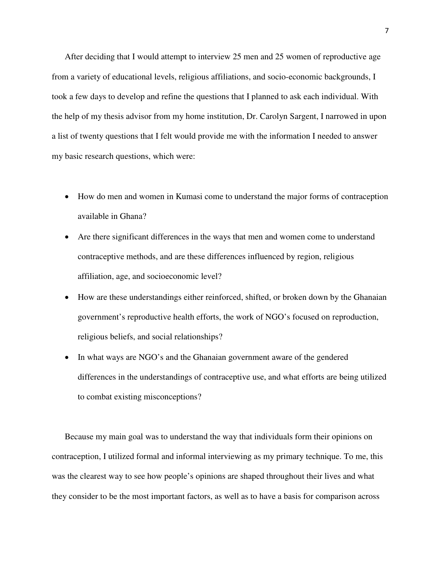After deciding that I would attempt to interview 25 men and 25 women of reproductive age from a variety of educational levels, religious affiliations, and socio-economic backgrounds, I took a few days to develop and refine the questions that I planned to ask each individual. With the help of my thesis advisor from my home institution, Dr. Carolyn Sargent, I narrowed in upon a list of twenty questions that I felt would provide me with the information I needed to answer my basic research questions, which were:

- How do men and women in Kumasi come to understand the major forms of contraception available in Ghana?
- Are there significant differences in the ways that men and women come to understand contraceptive methods, and are these differences influenced by region, religious affiliation, age, and socioeconomic level?
- How are these understandings either reinforced, shifted, or broken down by the Ghanaian government's reproductive health efforts, the work of NGO's focused on reproduction, religious beliefs, and social relationships?
- In what ways are NGO's and the Ghanaian government aware of the gendered differences in the understandings of contraceptive use, and what efforts are being utilized to combat existing misconceptions?

Because my main goal was to understand the way that individuals form their opinions on contraception, I utilized formal and informal interviewing as my primary technique. To me, this was the clearest way to see how people's opinions are shaped throughout their lives and what they consider to be the most important factors, as well as to have a basis for comparison across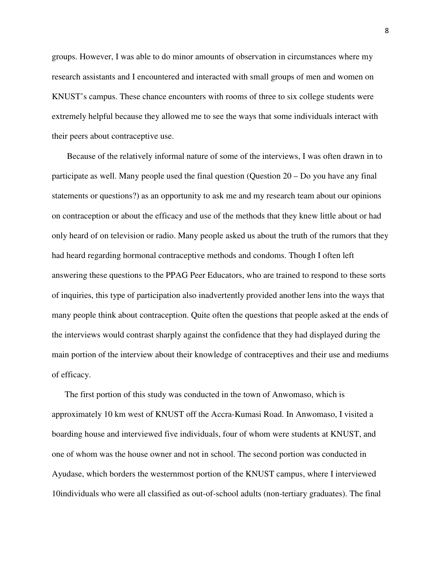groups. However, I was able to do minor amounts of observation in circumstances where my research assistants and I encountered and interacted with small groups of men and women on KNUST's campus. These chance encounters with rooms of three to six college students were extremely helpful because they allowed me to see the ways that some individuals interact with their peers about contraceptive use.

 Because of the relatively informal nature of some of the interviews, I was often drawn in to participate as well. Many people used the final question (Question 20 – Do you have any final statements or questions?) as an opportunity to ask me and my research team about our opinions on contraception or about the efficacy and use of the methods that they knew little about or had only heard of on television or radio. Many people asked us about the truth of the rumors that they had heard regarding hormonal contraceptive methods and condoms. Though I often left answering these questions to the PPAG Peer Educators, who are trained to respond to these sorts of inquiries, this type of participation also inadvertently provided another lens into the ways that many people think about contraception. Quite often the questions that people asked at the ends of the interviews would contrast sharply against the confidence that they had displayed during the main portion of the interview about their knowledge of contraceptives and their use and mediums of efficacy.

The first portion of this study was conducted in the town of Anwomaso, which is approximately 10 km west of KNUST off the Accra-Kumasi Road. In Anwomaso, I visited a boarding house and interviewed five individuals, four of whom were students at KNUST, and one of whom was the house owner and not in school. The second portion was conducted in Ayudase, which borders the westernmost portion of the KNUST campus, where I interviewed 10individuals who were all classified as out-of-school adults (non-tertiary graduates). The final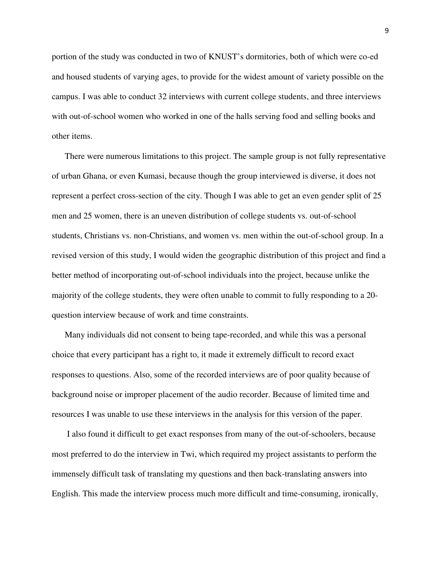portion of the study was conducted in two of KNUST's dormitories, both of which were co-ed and housed students of varying ages, to provide for the widest amount of variety possible on the campus. I was able to conduct 32 interviews with current college students, and three interviews with out-of-school women who worked in one of the halls serving food and selling books and other items.

There were numerous limitations to this project. The sample group is not fully representative of urban Ghana, or even Kumasi, because though the group interviewed is diverse, it does not represent a perfect cross-section of the city. Though I was able to get an even gender split of 25 men and 25 women, there is an uneven distribution of college students vs. out-of-school students, Christians vs. non-Christians, and women vs. men within the out-of-school group. In a revised version of this study, I would widen the geographic distribution of this project and find a better method of incorporating out-of-school individuals into the project, because unlike the majority of the college students, they were often unable to commit to fully responding to a 20 question interview because of work and time constraints.

Many individuals did not consent to being tape-recorded, and while this was a personal choice that every participant has a right to, it made it extremely difficult to record exact responses to questions. Also, some of the recorded interviews are of poor quality because of background noise or improper placement of the audio recorder. Because of limited time and resources I was unable to use these interviews in the analysis for this version of the paper.

 I also found it difficult to get exact responses from many of the out-of-schoolers, because most preferred to do the interview in Twi, which required my project assistants to perform the immensely difficult task of translating my questions and then back-translating answers into English. This made the interview process much more difficult and time-consuming, ironically,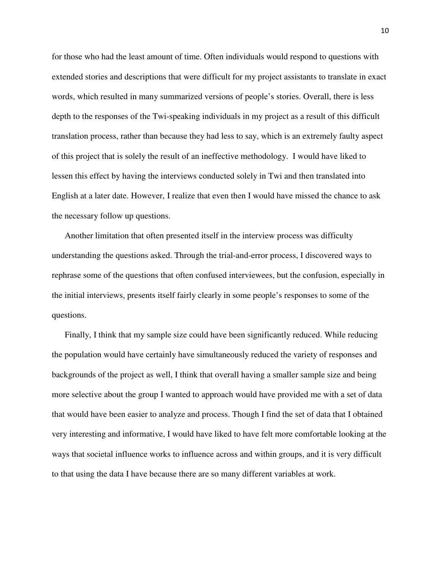for those who had the least amount of time. Often individuals would respond to questions with extended stories and descriptions that were difficult for my project assistants to translate in exact words, which resulted in many summarized versions of people's stories. Overall, there is less depth to the responses of the Twi-speaking individuals in my project as a result of this difficult translation process, rather than because they had less to say, which is an extremely faulty aspect of this project that is solely the result of an ineffective methodology. I would have liked to lessen this effect by having the interviews conducted solely in Twi and then translated into English at a later date. However, I realize that even then I would have missed the chance to ask the necessary follow up questions.

Another limitation that often presented itself in the interview process was difficulty understanding the questions asked. Through the trial-and-error process, I discovered ways to rephrase some of the questions that often confused interviewees, but the confusion, especially in the initial interviews, presents itself fairly clearly in some people's responses to some of the questions.

Finally, I think that my sample size could have been significantly reduced. While reducing the population would have certainly have simultaneously reduced the variety of responses and backgrounds of the project as well, I think that overall having a smaller sample size and being more selective about the group I wanted to approach would have provided me with a set of data that would have been easier to analyze and process. Though I find the set of data that I obtained very interesting and informative, I would have liked to have felt more comfortable looking at the ways that societal influence works to influence across and within groups, and it is very difficult to that using the data I have because there are so many different variables at work.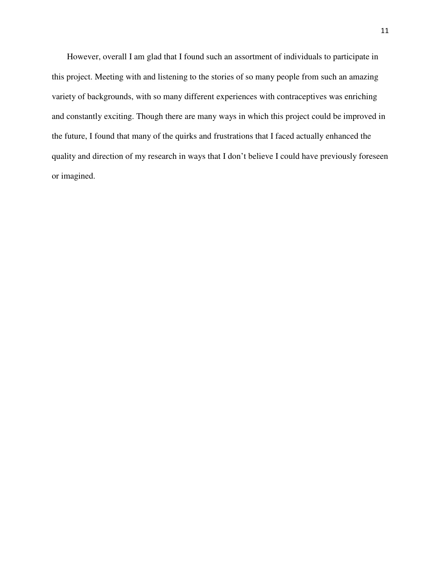However, overall I am glad that I found such an assortment of individuals to participate in this project. Meeting with and listening to the stories of so many people from such an amazing variety of backgrounds, with so many different experiences with contraceptives was enriching and constantly exciting. Though there are many ways in which this project could be improved in the future, I found that many of the quirks and frustrations that I faced actually enhanced the quality and direction of my research in ways that I don't believe I could have previously foreseen or imagined.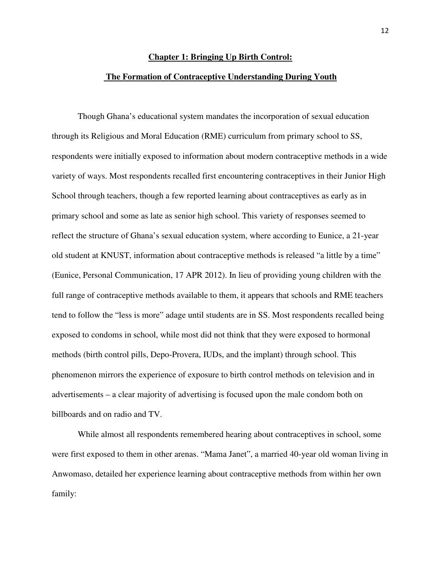## **Chapter 1: Bringing Up Birth Control:**

#### **The Formation of Contraceptive Understanding During Youth**

 Though Ghana's educational system mandates the incorporation of sexual education through its Religious and Moral Education (RME) curriculum from primary school to SS, respondents were initially exposed to information about modern contraceptive methods in a wide variety of ways. Most respondents recalled first encountering contraceptives in their Junior High School through teachers, though a few reported learning about contraceptives as early as in primary school and some as late as senior high school. This variety of responses seemed to reflect the structure of Ghana's sexual education system, where according to Eunice, a 21-year old student at KNUST, information about contraceptive methods is released "a little by a time" (Eunice, Personal Communication, 17 APR 2012). In lieu of providing young children with the full range of contraceptive methods available to them, it appears that schools and RME teachers tend to follow the "less is more" adage until students are in SS. Most respondents recalled being exposed to condoms in school, while most did not think that they were exposed to hormonal methods (birth control pills, Depo-Provera, IUDs, and the implant) through school. This phenomenon mirrors the experience of exposure to birth control methods on television and in advertisements – a clear majority of advertising is focused upon the male condom both on billboards and on radio and TV.

 While almost all respondents remembered hearing about contraceptives in school, some were first exposed to them in other arenas. "Mama Janet", a married 40-year old woman living in Anwomaso, detailed her experience learning about contraceptive methods from within her own family: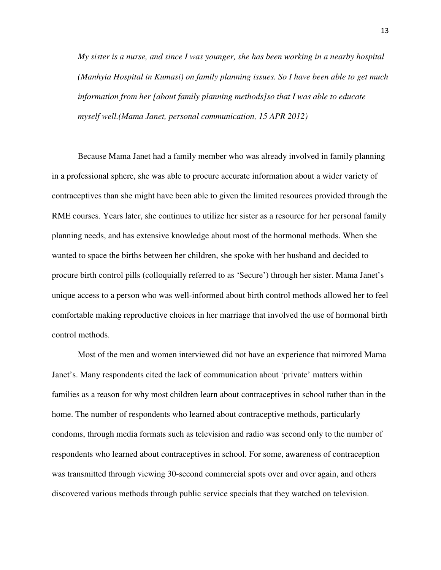*My sister is a nurse, and since I was younger, she has been working in a nearby hospital (Manhyia Hospital in Kumasi) on family planning issues. So I have been able to get much information from her [about family planning methods]so that I was able to educate myself well.(Mama Janet, personal communication, 15 APR 2012)* 

Because Mama Janet had a family member who was already involved in family planning in a professional sphere, she was able to procure accurate information about a wider variety of contraceptives than she might have been able to given the limited resources provided through the RME courses. Years later, she continues to utilize her sister as a resource for her personal family planning needs, and has extensive knowledge about most of the hormonal methods. When she wanted to space the births between her children, she spoke with her husband and decided to procure birth control pills (colloquially referred to as 'Secure') through her sister. Mama Janet's unique access to a person who was well-informed about birth control methods allowed her to feel comfortable making reproductive choices in her marriage that involved the use of hormonal birth control methods.

Most of the men and women interviewed did not have an experience that mirrored Mama Janet's. Many respondents cited the lack of communication about 'private' matters within families as a reason for why most children learn about contraceptives in school rather than in the home. The number of respondents who learned about contraceptive methods, particularly condoms, through media formats such as television and radio was second only to the number of respondents who learned about contraceptives in school. For some, awareness of contraception was transmitted through viewing 30-second commercial spots over and over again, and others discovered various methods through public service specials that they watched on television.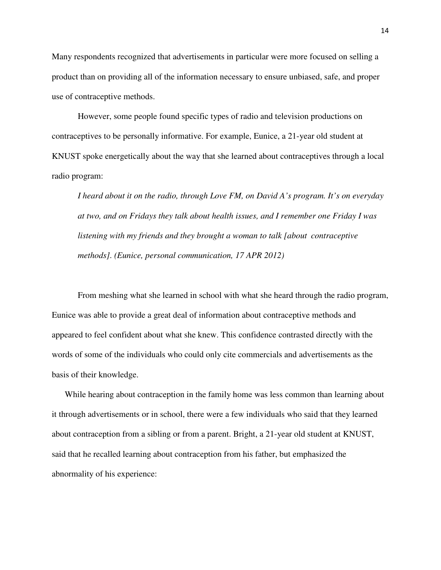Many respondents recognized that advertisements in particular were more focused on selling a product than on providing all of the information necessary to ensure unbiased, safe, and proper use of contraceptive methods.

However, some people found specific types of radio and television productions on contraceptives to be personally informative. For example, Eunice, a 21-year old student at KNUST spoke energetically about the way that she learned about contraceptives through a local radio program:

*I heard about it on the radio, through Love FM, on David A's program. It's on everyday at two, and on Fridays they talk about health issues, and I remember one Friday I was listening with my friends and they brought a woman to talk [about contraceptive methods]. (Eunice, personal communication, 17 APR 2012)* 

From meshing what she learned in school with what she heard through the radio program, Eunice was able to provide a great deal of information about contraceptive methods and appeared to feel confident about what she knew. This confidence contrasted directly with the words of some of the individuals who could only cite commercials and advertisements as the basis of their knowledge.

While hearing about contraception in the family home was less common than learning about it through advertisements or in school, there were a few individuals who said that they learned about contraception from a sibling or from a parent. Bright, a 21-year old student at KNUST, said that he recalled learning about contraception from his father, but emphasized the abnormality of his experience: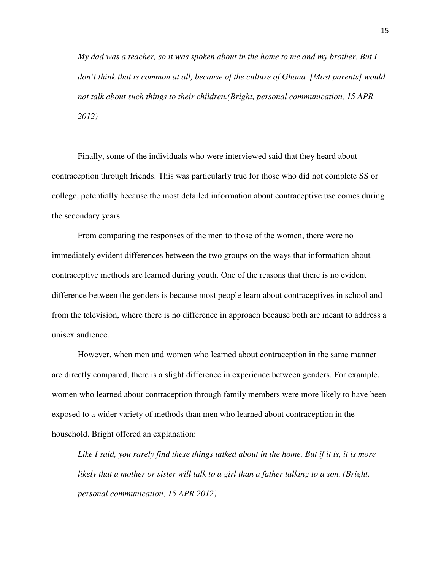*My dad was a teacher, so it was spoken about in the home to me and my brother. But I don't think that is common at all, because of the culture of Ghana. [Most parents] would not talk about such things to their children.(Bright, personal communication, 15 APR 2012)* 

Finally, some of the individuals who were interviewed said that they heard about contraception through friends. This was particularly true for those who did not complete SS or college, potentially because the most detailed information about contraceptive use comes during the secondary years.

From comparing the responses of the men to those of the women, there were no immediately evident differences between the two groups on the ways that information about contraceptive methods are learned during youth. One of the reasons that there is no evident difference between the genders is because most people learn about contraceptives in school and from the television, where there is no difference in approach because both are meant to address a unisex audience.

However, when men and women who learned about contraception in the same manner are directly compared, there is a slight difference in experience between genders. For example, women who learned about contraception through family members were more likely to have been exposed to a wider variety of methods than men who learned about contraception in the household. Bright offered an explanation:

*Like I said, you rarely find these things talked about in the home. But if it is, it is more likely that a mother or sister will talk to a girl than a father talking to a son. (Bright, personal communication, 15 APR 2012)*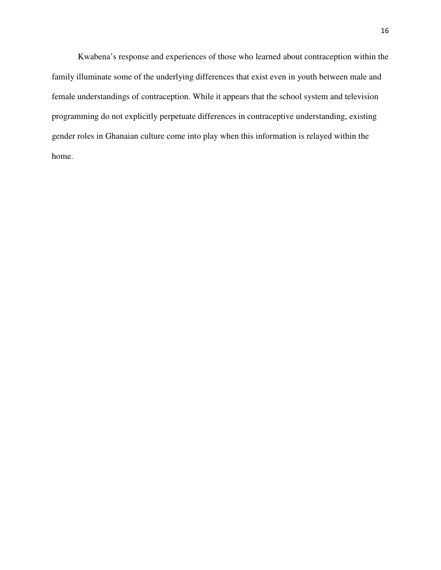Kwabena's response and experiences of those who learned about contraception within the family illuminate some of the underlying differences that exist even in youth between male and female understandings of contraception. While it appears that the school system and television programming do not explicitly perpetuate differences in contraceptive understanding, existing gender roles in Ghanaian culture come into play when this information is relayed within the home.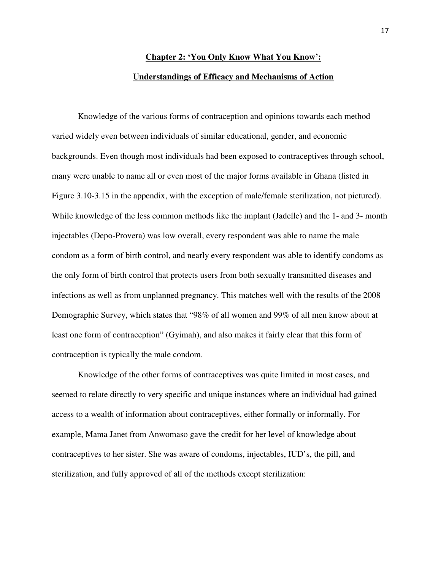## **Chapter 2: 'You Only Know What You Know': Understandings of Efficacy and Mechanisms of Action**

Knowledge of the various forms of contraception and opinions towards each method varied widely even between individuals of similar educational, gender, and economic backgrounds. Even though most individuals had been exposed to contraceptives through school, many were unable to name all or even most of the major forms available in Ghana (listed in Figure 3.10-3.15 in the appendix, with the exception of male/female sterilization, not pictured). While knowledge of the less common methods like the implant (Jadelle) and the 1- and 3- month injectables (Depo-Provera) was low overall, every respondent was able to name the male condom as a form of birth control, and nearly every respondent was able to identify condoms as the only form of birth control that protects users from both sexually transmitted diseases and infections as well as from unplanned pregnancy. This matches well with the results of the 2008 Demographic Survey, which states that "98% of all women and 99% of all men know about at least one form of contraception" (Gyimah), and also makes it fairly clear that this form of contraception is typically the male condom.

Knowledge of the other forms of contraceptives was quite limited in most cases, and seemed to relate directly to very specific and unique instances where an individual had gained access to a wealth of information about contraceptives, either formally or informally. For example, Mama Janet from Anwomaso gave the credit for her level of knowledge about contraceptives to her sister. She was aware of condoms, injectables, IUD's, the pill, and sterilization, and fully approved of all of the methods except sterilization: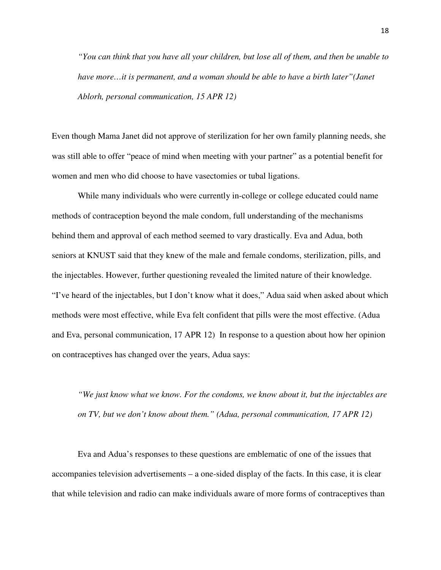*"You can think that you have all your children, but lose all of them, and then be unable to have more…it is permanent, and a woman should be able to have a birth later"(Janet Ablorh, personal communication, 15 APR 12)* 

Even though Mama Janet did not approve of sterilization for her own family planning needs, she was still able to offer "peace of mind when meeting with your partner" as a potential benefit for women and men who did choose to have vasectomies or tubal ligations.

 While many individuals who were currently in-college or college educated could name methods of contraception beyond the male condom, full understanding of the mechanisms behind them and approval of each method seemed to vary drastically. Eva and Adua, both seniors at KNUST said that they knew of the male and female condoms, sterilization, pills, and the injectables. However, further questioning revealed the limited nature of their knowledge. "I've heard of the injectables, but I don't know what it does," Adua said when asked about which methods were most effective, while Eva felt confident that pills were the most effective. (Adua and Eva, personal communication, 17 APR 12) In response to a question about how her opinion on contraceptives has changed over the years, Adua says:

*"We just know what we know. For the condoms, we know about it, but the injectables are on TV, but we don't know about them." (Adua, personal communication, 17 APR 12)* 

Eva and Adua's responses to these questions are emblematic of one of the issues that accompanies television advertisements – a one-sided display of the facts. In this case, it is clear that while television and radio can make individuals aware of more forms of contraceptives than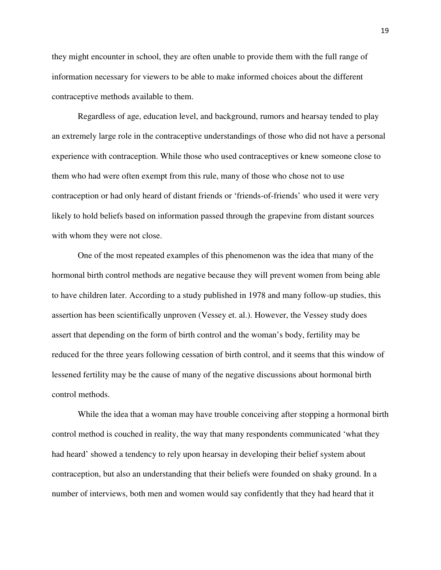they might encounter in school, they are often unable to provide them with the full range of information necessary for viewers to be able to make informed choices about the different contraceptive methods available to them.

Regardless of age, education level, and background, rumors and hearsay tended to play an extremely large role in the contraceptive understandings of those who did not have a personal experience with contraception. While those who used contraceptives or knew someone close to them who had were often exempt from this rule, many of those who chose not to use contraception or had only heard of distant friends or 'friends-of-friends' who used it were very likely to hold beliefs based on information passed through the grapevine from distant sources with whom they were not close.

One of the most repeated examples of this phenomenon was the idea that many of the hormonal birth control methods are negative because they will prevent women from being able to have children later. According to a study published in 1978 and many follow-up studies, this assertion has been scientifically unproven (Vessey et. al.). However, the Vessey study does assert that depending on the form of birth control and the woman's body, fertility may be reduced for the three years following cessation of birth control, and it seems that this window of lessened fertility may be the cause of many of the negative discussions about hormonal birth control methods.

While the idea that a woman may have trouble conceiving after stopping a hormonal birth control method is couched in reality, the way that many respondents communicated 'what they had heard' showed a tendency to rely upon hearsay in developing their belief system about contraception, but also an understanding that their beliefs were founded on shaky ground. In a number of interviews, both men and women would say confidently that they had heard that it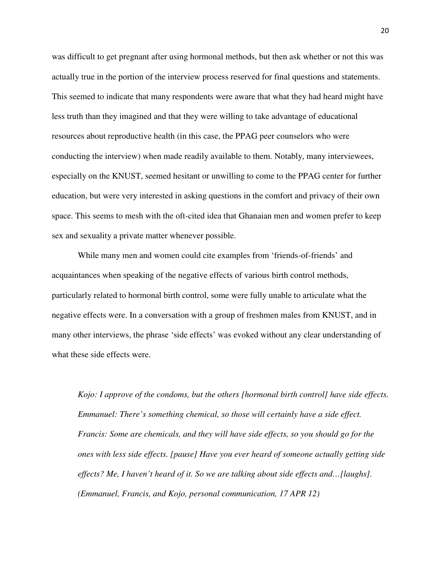was difficult to get pregnant after using hormonal methods, but then ask whether or not this was actually true in the portion of the interview process reserved for final questions and statements. This seemed to indicate that many respondents were aware that what they had heard might have less truth than they imagined and that they were willing to take advantage of educational resources about reproductive health (in this case, the PPAG peer counselors who were conducting the interview) when made readily available to them. Notably, many interviewees, especially on the KNUST, seemed hesitant or unwilling to come to the PPAG center for further education, but were very interested in asking questions in the comfort and privacy of their own space. This seems to mesh with the oft-cited idea that Ghanaian men and women prefer to keep sex and sexuality a private matter whenever possible.

While many men and women could cite examples from 'friends-of-friends' and acquaintances when speaking of the negative effects of various birth control methods, particularly related to hormonal birth control, some were fully unable to articulate what the negative effects were. In a conversation with a group of freshmen males from KNUST, and in many other interviews, the phrase 'side effects' was evoked without any clear understanding of what these side effects were.

*Kojo: I approve of the condoms, but the others [hormonal birth control] have side effects. Emmanuel: There's something chemical, so those will certainly have a side effect. Francis: Some are chemicals, and they will have side effects, so you should go for the ones with less side effects. [pause] Have you ever heard of someone actually getting side effects? Me, I haven't heard of it. So we are talking about side effects and…[laughs]. (Emmanuel, Francis, and Kojo, personal communication, 17 APR 12)*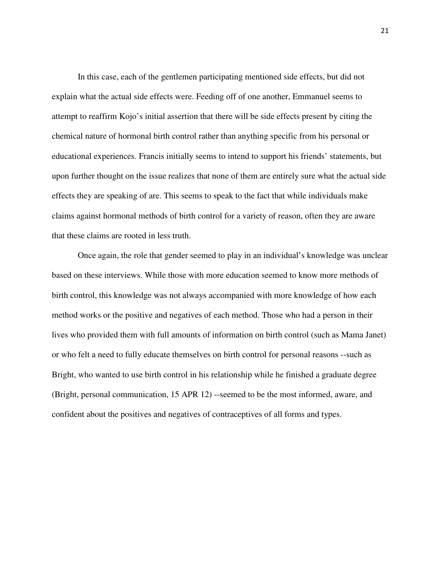In this case, each of the gentlemen participating mentioned side effects, but did not explain what the actual side effects were. Feeding off of one another, Emmanuel seems to attempt to reaffirm Kojo's initial assertion that there will be side effects present by citing the chemical nature of hormonal birth control rather than anything specific from his personal or educational experiences. Francis initially seems to intend to support his friends' statements, but upon further thought on the issue realizes that none of them are entirely sure what the actual side effects they are speaking of are. This seems to speak to the fact that while individuals make claims against hormonal methods of birth control for a variety of reason, often they are aware that these claims are rooted in less truth.

Once again, the role that gender seemed to play in an individual's knowledge was unclear based on these interviews. While those with more education seemed to know more methods of birth control, this knowledge was not always accompanied with more knowledge of how each method works or the positive and negatives of each method. Those who had a person in their lives who provided them with full amounts of information on birth control (such as Mama Janet) or who felt a need to fully educate themselves on birth control for personal reasons --such as Bright, who wanted to use birth control in his relationship while he finished a graduate degree (Bright, personal communication, 15 APR 12) --seemed to be the most informed, aware, and confident about the positives and negatives of contraceptives of all forms and types.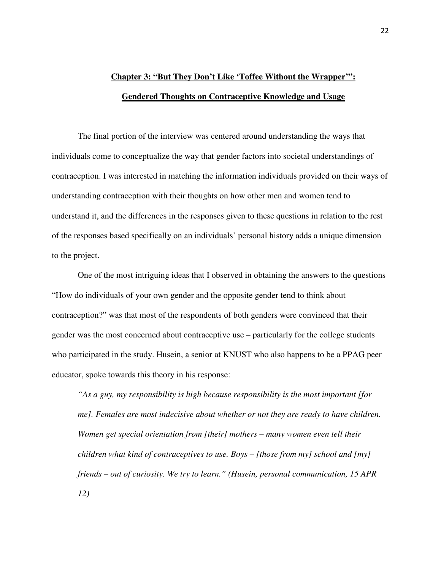## **Chapter 3: "But They Don't Like 'Toffee Without the Wrapper'": Gendered Thoughts on Contraceptive Knowledge and Usage**

The final portion of the interview was centered around understanding the ways that individuals come to conceptualize the way that gender factors into societal understandings of contraception. I was interested in matching the information individuals provided on their ways of understanding contraception with their thoughts on how other men and women tend to understand it, and the differences in the responses given to these questions in relation to the rest of the responses based specifically on an individuals' personal history adds a unique dimension to the project.

One of the most intriguing ideas that I observed in obtaining the answers to the questions "How do individuals of your own gender and the opposite gender tend to think about contraception?" was that most of the respondents of both genders were convinced that their gender was the most concerned about contraceptive use – particularly for the college students who participated in the study. Husein, a senior at KNUST who also happens to be a PPAG peer educator, spoke towards this theory in his response:

*"As a guy, my responsibility is high because responsibility is the most important [for me]. Females are most indecisive about whether or not they are ready to have children. Women get special orientation from [their] mothers – many women even tell their children what kind of contraceptives to use. Boys – [those from my] school and [my] friends – out of curiosity. We try to learn." (Husein, personal communication, 15 APR 12)*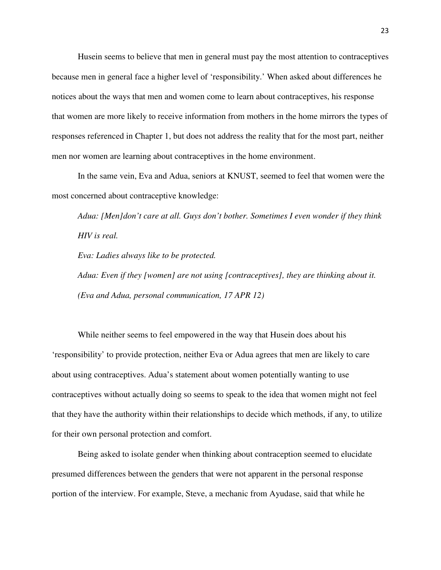Husein seems to believe that men in general must pay the most attention to contraceptives because men in general face a higher level of 'responsibility.' When asked about differences he notices about the ways that men and women come to learn about contraceptives, his response that women are more likely to receive information from mothers in the home mirrors the types of responses referenced in Chapter 1, but does not address the reality that for the most part, neither men nor women are learning about contraceptives in the home environment.

In the same vein, Eva and Adua, seniors at KNUST, seemed to feel that women were the most concerned about contraceptive knowledge:

*Adua: [Men]don't care at all. Guys don't bother. Sometimes I even wonder if they think HIV is real.* 

*Eva: Ladies always like to be protected.* 

*Adua: Even if they [women] are not using [contraceptives], they are thinking about it. (Eva and Adua, personal communication, 17 APR 12)* 

While neither seems to feel empowered in the way that Husein does about his 'responsibility' to provide protection, neither Eva or Adua agrees that men are likely to care about using contraceptives. Adua's statement about women potentially wanting to use contraceptives without actually doing so seems to speak to the idea that women might not feel that they have the authority within their relationships to decide which methods, if any, to utilize for their own personal protection and comfort.

Being asked to isolate gender when thinking about contraception seemed to elucidate presumed differences between the genders that were not apparent in the personal response portion of the interview. For example, Steve, a mechanic from Ayudase, said that while he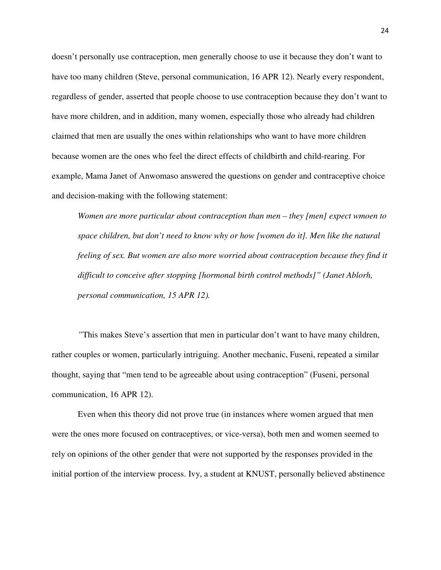doesn't personally use contraception, men generally choose to use it because they don't want to have too many children (Steve, personal communication, 16 APR 12). Nearly every respondent, regardless of gender, asserted that people choose to use contraception because they don't want to have more children, and in addition, many women, especially those who already had children claimed that men are usually the ones within relationships who want to have more children because women are the ones who feel the direct effects of childbirth and child-rearing. For example, Mama Janet of Anwomaso answered the questions on gender and contraceptive choice and decision-making with the following statement:

*Women are more particular about contraception than men – they [men] expect wmoen to space children, but don't need to know why or how [women do it]. Men like the natural feeling of sex. But women are also more worried about contraception because they find it difficult to conceive after stopping [hormonal birth control methods]" (Janet Ablorh, personal communication, 15 APR 12).* 

*"*This makes Steve's assertion that men in particular don't want to have many children, rather couples or women, particularly intriguing. Another mechanic, Fuseni, repeated a similar thought, saying that "men tend to be agreeable about using contraception" (Fuseni, personal communication, 16 APR 12).

Even when this theory did not prove true (in instances where women argued that men were the ones more focused on contraceptives, or vice-versa), both men and women seemed to rely on opinions of the other gender that were not supported by the responses provided in the initial portion of the interview process. Ivy, a student at KNUST, personally believed abstinence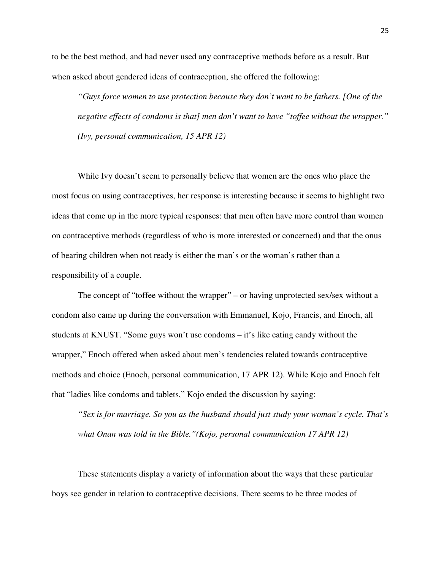to be the best method, and had never used any contraceptive methods before as a result. But when asked about gendered ideas of contraception, she offered the following:

*"Guys force women to use protection because they don't want to be fathers. [One of the negative effects of condoms is that] men don't want to have "toffee without the wrapper." (Ivy, personal communication, 15 APR 12)* 

While Ivy doesn't seem to personally believe that women are the ones who place the most focus on using contraceptives, her response is interesting because it seems to highlight two ideas that come up in the more typical responses: that men often have more control than women on contraceptive methods (regardless of who is more interested or concerned) and that the onus of bearing children when not ready is either the man's or the woman's rather than a responsibility of a couple.

The concept of "toffee without the wrapper" – or having unprotected sex/sex without a condom also came up during the conversation with Emmanuel, Kojo, Francis, and Enoch, all students at KNUST. "Some guys won't use condoms – it's like eating candy without the wrapper," Enoch offered when asked about men's tendencies related towards contraceptive methods and choice (Enoch, personal communication, 17 APR 12). While Kojo and Enoch felt that "ladies like condoms and tablets," Kojo ended the discussion by saying:

*"Sex is for marriage. So you as the husband should just study your woman's cycle. That's what Onan was told in the Bible."(Kojo, personal communication 17 APR 12)* 

These statements display a variety of information about the ways that these particular boys see gender in relation to contraceptive decisions. There seems to be three modes of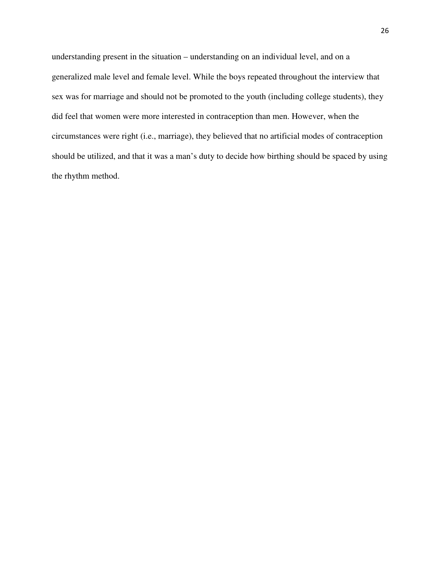understanding present in the situation – understanding on an individual level, and on a generalized male level and female level. While the boys repeated throughout the interview that sex was for marriage and should not be promoted to the youth (including college students), they did feel that women were more interested in contraception than men. However, when the circumstances were right (i.e., marriage), they believed that no artificial modes of contraception should be utilized, and that it was a man's duty to decide how birthing should be spaced by using the rhythm method.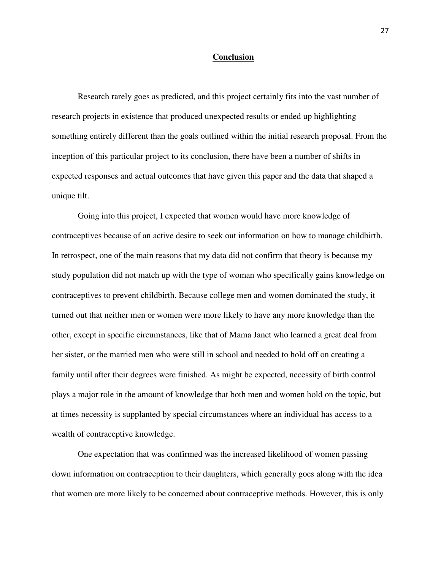#### **Conclusion**

Research rarely goes as predicted, and this project certainly fits into the vast number of research projects in existence that produced unexpected results or ended up highlighting something entirely different than the goals outlined within the initial research proposal. From the inception of this particular project to its conclusion, there have been a number of shifts in expected responses and actual outcomes that have given this paper and the data that shaped a unique tilt.

Going into this project, I expected that women would have more knowledge of contraceptives because of an active desire to seek out information on how to manage childbirth. In retrospect, one of the main reasons that my data did not confirm that theory is because my study population did not match up with the type of woman who specifically gains knowledge on contraceptives to prevent childbirth. Because college men and women dominated the study, it turned out that neither men or women were more likely to have any more knowledge than the other, except in specific circumstances, like that of Mama Janet who learned a great deal from her sister, or the married men who were still in school and needed to hold off on creating a family until after their degrees were finished. As might be expected, necessity of birth control plays a major role in the amount of knowledge that both men and women hold on the topic, but at times necessity is supplanted by special circumstances where an individual has access to a wealth of contraceptive knowledge.

One expectation that was confirmed was the increased likelihood of women passing down information on contraception to their daughters, which generally goes along with the idea that women are more likely to be concerned about contraceptive methods. However, this is only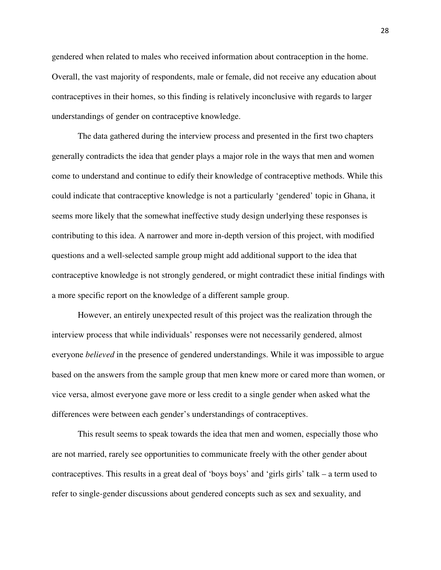gendered when related to males who received information about contraception in the home. Overall, the vast majority of respondents, male or female, did not receive any education about contraceptives in their homes, so this finding is relatively inconclusive with regards to larger understandings of gender on contraceptive knowledge.

The data gathered during the interview process and presented in the first two chapters generally contradicts the idea that gender plays a major role in the ways that men and women come to understand and continue to edify their knowledge of contraceptive methods. While this could indicate that contraceptive knowledge is not a particularly 'gendered' topic in Ghana, it seems more likely that the somewhat ineffective study design underlying these responses is contributing to this idea. A narrower and more in-depth version of this project, with modified questions and a well-selected sample group might add additional support to the idea that contraceptive knowledge is not strongly gendered, or might contradict these initial findings with a more specific report on the knowledge of a different sample group.

However, an entirely unexpected result of this project was the realization through the interview process that while individuals' responses were not necessarily gendered, almost everyone *believed* in the presence of gendered understandings. While it was impossible to argue based on the answers from the sample group that men knew more or cared more than women, or vice versa, almost everyone gave more or less credit to a single gender when asked what the differences were between each gender's understandings of contraceptives.

This result seems to speak towards the idea that men and women, especially those who are not married, rarely see opportunities to communicate freely with the other gender about contraceptives. This results in a great deal of 'boys boys' and 'girls girls' talk – a term used to refer to single-gender discussions about gendered concepts such as sex and sexuality, and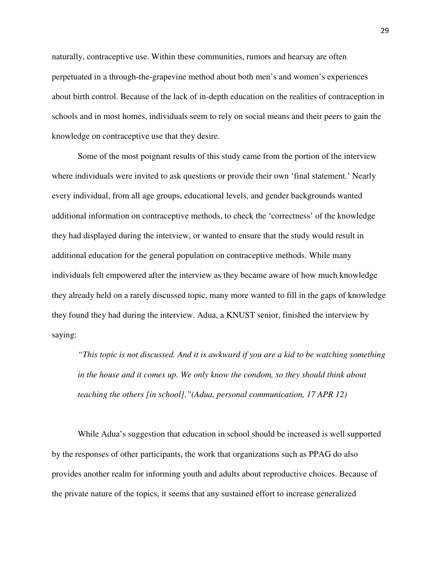naturally, contraceptive use. Within these communities, rumors and hearsay are often perpetuated in a through-the-grapevine method about both men's and women's experiences about birth control. Because of the lack of in-depth education on the realities of contraception in schools and in most homes, individuals seem to rely on social means and their peers to gain the knowledge on contraceptive use that they desire.

Some of the most poignant results of this study came from the portion of the interview where individuals were invited to ask questions or provide their own 'final statement.' Nearly every individual, from all age groups, educational levels, and gender backgrounds wanted additional information on contraceptive methods, to check the 'correctness' of the knowledge they had displayed during the interview, or wanted to ensure that the study would result in additional education for the general population on contraceptive methods. While many individuals felt empowered after the interview as they became aware of how much knowledge they already held on a rarely discussed topic, many more wanted to fill in the gaps of knowledge they found they had during the interview. Adua, a KNUST senior, finished the interview by saying:

*"This topic is not discussed. And it is awkward if you are a kid to be watching something in the house and it comes up. We only know the condom, so they should think about teaching the others [in school]."(Adua, personal communication, 17 APR 12)* 

While Adua's suggestion that education in school should be increased is well supported by the responses of other participants, the work that organizations such as PPAG do also provides another realm for informing youth and adults about reproductive choices. Because of the private nature of the topics, it seems that any sustained effort to increase generalized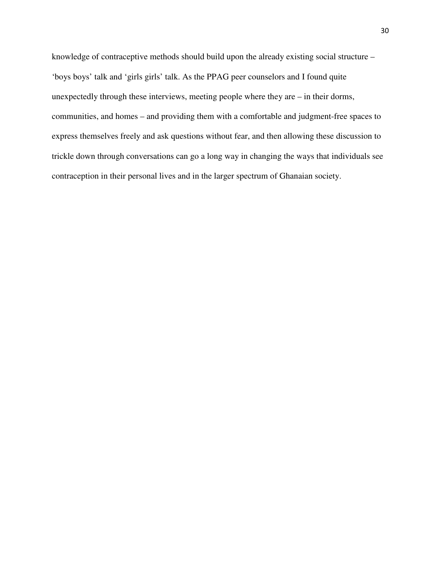knowledge of contraceptive methods should build upon the already existing social structure – 'boys boys' talk and 'girls girls' talk. As the PPAG peer counselors and I found quite unexpectedly through these interviews, meeting people where they are – in their dorms, communities, and homes – and providing them with a comfortable and judgment-free spaces to express themselves freely and ask questions without fear, and then allowing these discussion to trickle down through conversations can go a long way in changing the ways that individuals see contraception in their personal lives and in the larger spectrum of Ghanaian society.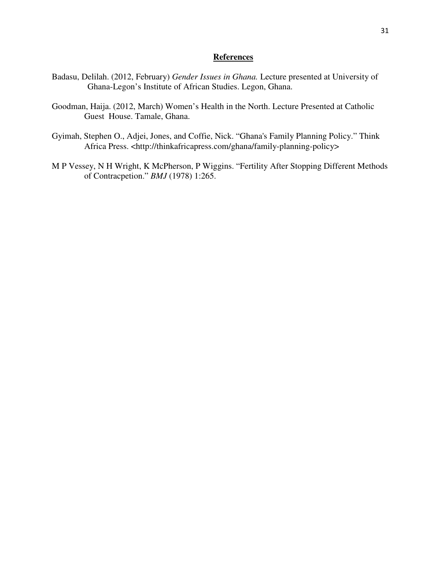#### **References**

- Badasu, Delilah. (2012, February) *Gender Issues in Ghana.* Lecture presented at University of Ghana-Legon's Institute of African Studies. Legon, Ghana.
- Goodman, Haija. (2012, March) Women's Health in the North. Lecture Presented at Catholic Guest House. Tamale, Ghana.
- Gyimah, Stephen O., Adjei, Jones, and Coffie, Nick. "Ghana's Family Planning Policy." Think Africa Press. <http://thinkafricapress.com/ghana/family-planning-policy>
- M P Vessey, N H Wright, K McPherson, P Wiggins. "Fertility After Stopping Different Methods of Contracpetion." *BMJ* (1978) 1:265.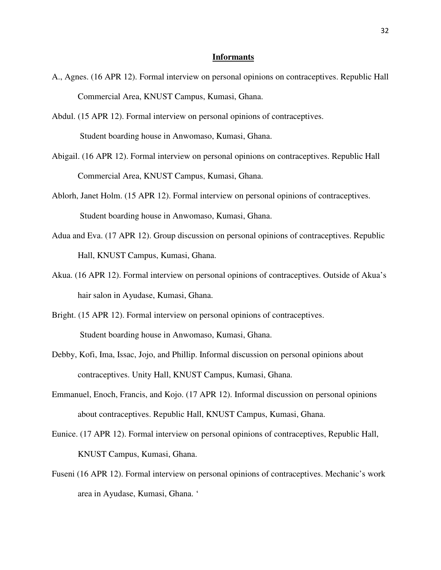#### **Informants**

- A., Agnes. (16 APR 12). Formal interview on personal opinions on contraceptives. Republic Hall Commercial Area, KNUST Campus, Kumasi, Ghana.
- Abdul. (15 APR 12). Formal interview on personal opinions of contraceptives. Student boarding house in Anwomaso, Kumasi, Ghana.
- Abigail. (16 APR 12). Formal interview on personal opinions on contraceptives. Republic Hall Commercial Area, KNUST Campus, Kumasi, Ghana.
- Ablorh, Janet Holm. (15 APR 12). Formal interview on personal opinions of contraceptives. Student boarding house in Anwomaso, Kumasi, Ghana.
- Adua and Eva. (17 APR 12). Group discussion on personal opinions of contraceptives. Republic Hall, KNUST Campus, Kumasi, Ghana.
- Akua. (16 APR 12). Formal interview on personal opinions of contraceptives. Outside of Akua's hair salon in Ayudase, Kumasi, Ghana.
- Bright. (15 APR 12). Formal interview on personal opinions of contraceptives. Student boarding house in Anwomaso, Kumasi, Ghana.
- Debby, Kofi, Ima, Issac, Jojo, and Phillip. Informal discussion on personal opinions about contraceptives. Unity Hall, KNUST Campus, Kumasi, Ghana.
- Emmanuel, Enoch, Francis, and Kojo. (17 APR 12). Informal discussion on personal opinions about contraceptives. Republic Hall, KNUST Campus, Kumasi, Ghana.
- Eunice. (17 APR 12). Formal interview on personal opinions of contraceptives, Republic Hall, KNUST Campus, Kumasi, Ghana.
- Fuseni (16 APR 12). Formal interview on personal opinions of contraceptives. Mechanic's work area in Ayudase, Kumasi, Ghana. '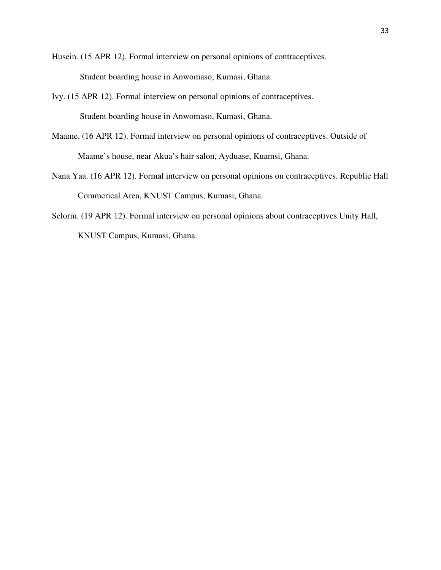Husein. (15 APR 12). Formal interview on personal opinions of contraceptives. Student boarding house in Anwomaso, Kumasi, Ghana.

- Ivy. (15 APR 12). Formal interview on personal opinions of contraceptives. Student boarding house in Anwomaso, Kumasi, Ghana.
- Maame. (16 APR 12). Formal interview on personal opinions of contraceptives. Outside of Maame's house, near Akua's hair salon, Ayduase, Kuamsi, Ghana.
- Nana Yaa. (16 APR 12). Formal interview on personal opinions on contraceptives. Republic Hall Commerical Area, KNUST Campus, Kumasi, Ghana.
- Selorm. (19 APR 12). Formal interview on personal opinions about contraceptives.Unity Hall, KNUST Campus, Kumasi, Ghana.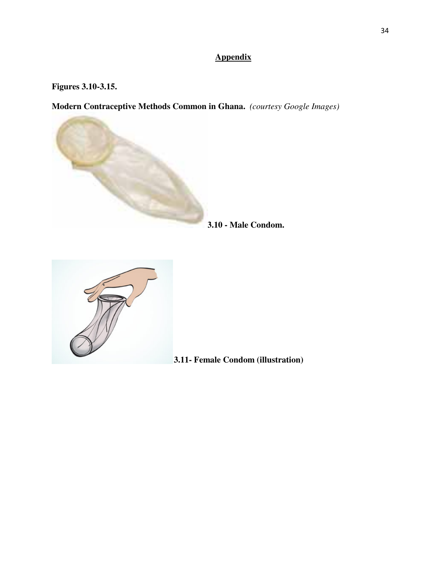## **Appendix**

### **Figures 3.10-3.15.**

**Modern Contraceptive Methods Common in Ghana.** *(courtesy Google Images)* 



**3.10 - Male Condom.** 



 **3.11- Female Condom (illustration)**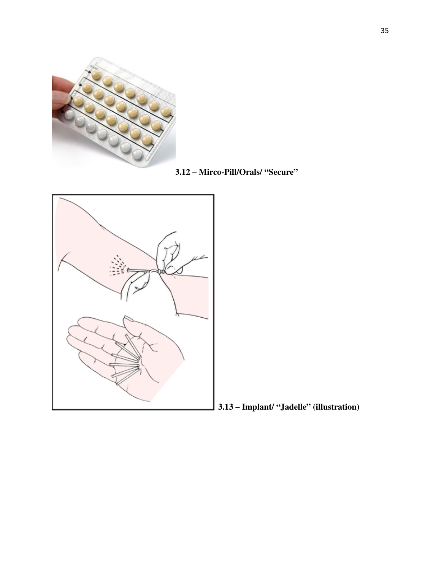

**3.12 – Mirco-Pill/Orals/ "Secure"** 



 **3.13 – Implant/ "Jadelle" (illustration)**